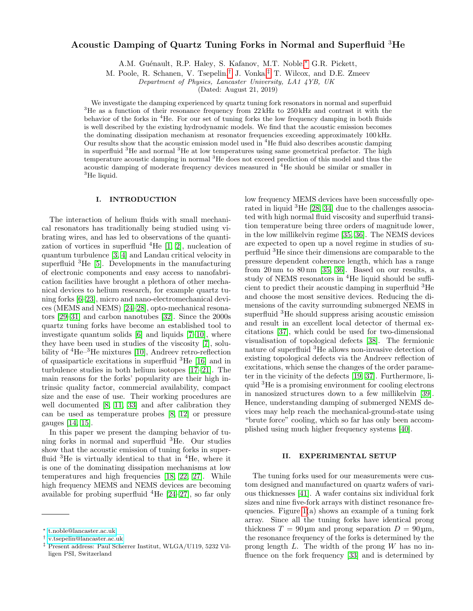# Acoustic Damping of Quartz Tuning Forks in Normal and Superfluid <sup>3</sup>He

A.M. Guénault, R.P. Haley, S. Kafanov, M.T. Noble,<sup>[∗](#page-0-0)</sup> G.R. Pickett,

M. Poole, R. Schanen, V. Tsepelin,[†](#page-0-1) J. Vonka,[‡](#page-0-2) T. Wilcox, and D.E. Zmeev

Department of Physics, Lancaster University, LA1 4YB, UK

(Dated: August 21, 2019)

We investigate the damping experienced by quartz tuning fork resonators in normal and superfluid <sup>3</sup>He as a function of their resonance frequency from  $22\,\text{kHz}$  to  $250\,\text{kHz}$  and contrast it with the behavior of the forks in <sup>4</sup>He. For our set of tuning forks the low frequency damping in both fluids is well described by the existing hydrodynamic models. We find that the acoustic emission becomes the dominating dissipation mechanism at resonator frequencies exceeding approximately 100 kHz. Our results show that the acoustic emission model used in <sup>4</sup>He fluid also describes acoustic damping in superfluid  ${}^{3}$ He and normal  ${}^{3}$ He at low temperatures using same geometrical prefactor. The high temperature acoustic damping in normal <sup>3</sup>He does not exceed prediction of this model and thus the acoustic damping of moderate frequency devices measured in <sup>4</sup>He should be similar or smaller in  ${}^{3}$ He liquid.

# I. INTRODUCTION

The interaction of helium fluids with small mechanical resonators has traditionally being studied using vibrating wires, and has led to observations of the quantization of vortices in superfluid  ${}^{4}$ He [\[1,](#page-7-0) [2\]](#page-7-1), nucleation of quantum turbulence [\[3,](#page-7-2) [4\]](#page-7-3) and Landau critical velocity in superfluid  ${}^{3}$ He [\[5\]](#page-7-4). Developments in the manufacturing of electronic components and easy access to nanofabrication facilities have brought a plethora of other mechanical devices to helium research, for example quartz tuning forks [\[6](#page-7-5)[–23\]](#page-7-6), micro and nano-electromechanical devices (MEMS and NEMS) [\[24](#page-7-7)[–28\]](#page-7-8), opto-mechanical resonators [\[29–](#page-7-9)[31\]](#page-7-10) and carbon nanotubes [\[32\]](#page-8-0). Since the 2000s quartz tuning forks have become an established tool to investigate quantum solids [\[6\]](#page-7-5) and liquids [\[7–](#page-7-11)[10\]](#page-7-12), where they have been used in studies of the viscosity [\[7\]](#page-7-11), solubility of  ${}^{4}$ He ${}^{-3}$ He mixtures [\[10\]](#page-7-12), Andreev retro-reflection of quasiparticle excitations in superfluid <sup>3</sup>He [\[16\]](#page-7-13) and in turbulence studies in both helium isotopes [\[17](#page-7-14)[–21\]](#page-7-15). The main reasons for the forks' popularity are their high intrinsic quality factor, commercial availability, compact size and the ease of use. Their working procedures are well documented [\[8,](#page-7-16) [11,](#page-7-17) [33\]](#page-8-1) and after calibration they can be used as temperature probes [\[8,](#page-7-16) [12\]](#page-7-18) or pressure gauges [\[14,](#page-7-19) [15\]](#page-7-20).

In this paper we present the damping behavior of tuning forks in normal and superfluid <sup>3</sup>He. Our studies show that the acoustic emission of tuning forks in superfluid  ${}^{3}$ He is virtually identical to that in  ${}^{4}$ He, where it is one of the dominating dissipation mechanisms at low temperatures and high frequencies [\[18,](#page-7-21) [22,](#page-7-22) [27\]](#page-7-23). While high frequency MEMS and NEMS devices are becoming available for probing superfluid  ${}^{4}$ He [\[24–](#page-7-7)[27\]](#page-7-23), so far only

low frequency MEMS devices have been successfully operated in liquid <sup>3</sup>He [\[28,](#page-7-8) [34\]](#page-8-2) due to the challenges associated with high normal fluid viscosity and superfluid transition temperature being three orders of magnitude lower, in the low millikelvin regime [\[35,](#page-8-3) [36\]](#page-8-4). The NEMS devices are expected to open up a novel regime in studies of superfluid <sup>3</sup>He since their dimensions are comparable to the pressure dependent coherence length, which has a range from 20 nm to 80 nm [\[35,](#page-8-3) [36\]](#page-8-4). Based on our results, a study of NEMS resonators in <sup>4</sup>He liquid should be sufficient to predict their acoustic damping in superfluid <sup>3</sup>He and choose the most sensitive devices. Reducing the dimensions of the cavity surrounding submerged NEMS in superfluid <sup>3</sup>He should suppress arising acoustic emission and result in an excellent local detector of thermal excitations [\[37\]](#page-8-5), which could be used for two-dimensional visualisation of topological defects [\[38\]](#page-8-6). The fermionic nature of superfluid <sup>3</sup>He allows non-invasive detection of existing topological defects via the Andreev reflection of excitations, which sense the changes of the order parameter in the vicinity of the defects [\[19,](#page-7-24) [37\]](#page-8-5). Furthermore, liquid <sup>3</sup>He is a promising environment for cooling electrons in nanosized structures down to a few millikelvin [\[39\]](#page-8-7). Hence, understanding damping of submerged NEMS devices may help reach the mechanical-ground-state using "brute force" cooling, which so far has only been accomplished using much higher frequency systems [\[40\]](#page-8-8).

#### II. EXPERIMENTAL SETUP

The tuning forks used for our measurements were custom designed and manufactured on quartz wafers of various thicknesses [\[41\]](#page-8-9). A wafer contains six individual fork sizes and nine five-fork arrays with distinct resonance frequencies. Figure  $1(a)$  shows an example of a tuning fork array. Since all the tuning forks have identical prong thickness  $T = 90 \,\text{\mu m}$  and prong separation  $D = 90 \,\text{\mu m}$ , the resonance frequency of the forks is determined by the prong length  $L$ . The width of the prong  $W$  has no influence on the fork frequency [\[33\]](#page-8-1) and is determined by

<span id="page-0-0"></span><sup>∗</sup> [t.noble@lancaster.ac.uk](mailto:t.noble@lancaster.ac.uk)

<span id="page-0-1"></span><sup>†</sup> [v.tsepelin@lancaster.ac.uk](mailto:v.tsepelin@lancaster.ac.uk)

<span id="page-0-2"></span><sup>‡</sup> Present address: Paul Scherrer Institut, WLGA/U119, 5232 Villigen PSI, Switzerland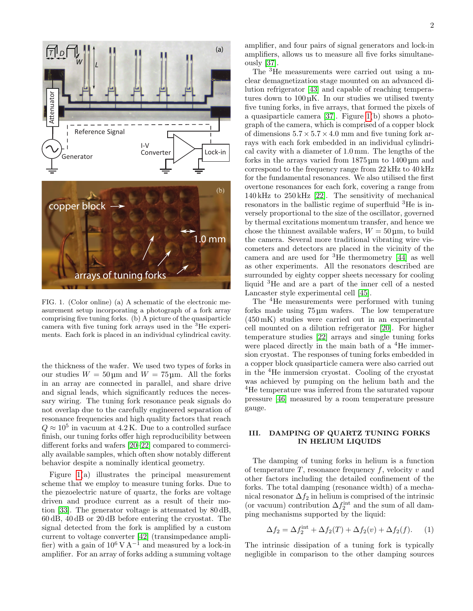

<span id="page-1-0"></span>FIG. 1. (Color online) (a) A schematic of the electronic measurement setup incorporating a photograph of a fork array comprising five tuning forks. (b) A picture of the quasiparticle camera with five tuning fork arrays used in the <sup>3</sup>He experiments. Each fork is placed in an individual cylindrical cavity.

the thickness of the wafer. We used two types of forks in our studies  $W = 50 \,\text{\mu m}$  and  $W = 75 \,\text{\mu m}$ . All the forks in an array are connected in parallel, and share drive and signal leads, which significantly reduces the necessary wiring. The tuning fork resonance peak signals do not overlap due to the carefully engineered separation of resonance frequencies and high quality factors that reach  $Q \approx 10^5$  in vacuum at 4.2 K. Due to a controlled surface finish, our tuning forks offer high reproducibility between different forks and wafers [\[20–](#page-7-25)[22\]](#page-7-22) compared to commercially available samples, which often show notably different behavior despite a nominally identical geometry.

Figure [1\(](#page-1-0)a) illustrates the principal measurement scheme that we employ to measure tuning forks. Due to the piezoelectric nature of quartz, the forks are voltage driven and produce current as a result of their motion [\[33\]](#page-8-1). The generator voltage is attenuated by 80 dB, 60 dB, 40 dB or 20 dB before entering the cryostat. The signal detected from the fork is amplified by a custom current to voltage converter [\[42\]](#page-8-10) (transimpedance amplifier) with a gain of  $10^6$  V A<sup>-1</sup> and measured by a lock-in amplifier. For an array of forks adding a summing voltage

amplifier, and four pairs of signal generators and lock-in amplifiers, allows us to measure all five forks simultaneously [\[37\]](#page-8-5).

The <sup>3</sup>He measurements were carried out using a nuclear demagnetization stage mounted on an advanced dilution refrigerator [\[43\]](#page-8-11) and capable of reaching temperatures down to 100 µK. In our studies we utilised twenty five tuning forks, in five arrays, that formed the pixels of a quasiparticle camera [\[37\]](#page-8-5). Figure [1\(](#page-1-0)b) shows a photograph of the camera, which is comprised of a copper block of dimensions  $5.7 \times 5.7 \times 4.0$  mm and five tuning fork arrays with each fork embedded in an individual cylindrical cavity with a diameter of 1.0 mm. The lengths of the forks in the arrays varied from 1875 µm to 1400 µm and correspond to the frequency range from 22 kHz to 40 kHz for the fundamental resonances. We also utilised the first overtone resonances for each fork, covering a range from 140 kHz to 250 kHz [\[22\]](#page-7-22). The sensitivity of mechanical resonators in the ballistic regime of superfluid <sup>3</sup>He is inversely proportional to the size of the oscillator, governed by thermal excitations momentum transfer, and hence we chose the thinnest available wafers,  $W = 50 \,\text{\textmu}$ , to build the camera. Several more traditional vibrating wire viscometers and detectors are placed in the vicinity of the camera and are used for <sup>3</sup>He thermometry [\[44\]](#page-8-12) as well as other experiments. All the resonators described are surrounded by eighty copper sheets necessary for cooling liquid <sup>3</sup>He and are a part of the inner cell of a nested Lancaster style experimental cell [\[45\]](#page-8-13).

The <sup>4</sup>He measurements were performed with tuning forks made using 75 µm wafers. The low temperature (450 mK) studies were carried out in an experimental cell mounted on a dilution refrigerator [\[20\]](#page-7-25). For higher temperature studies [\[22\]](#page-7-22) arrays and single tuning forks were placed directly in the main bath of a <sup>4</sup>He immersion cryostat. The responses of tuning forks embedded in a copper block quasiparticle camera were also carried out in the <sup>4</sup>He immersion cryostat. Cooling of the cryostat was achieved by pumping on the helium bath and the <sup>4</sup>He temperature was inferred from the saturated vapour pressure [\[46\]](#page-8-14) measured by a room temperature pressure gauge.

# III. DAMPING OF QUARTZ TUNING FORKS IN HELIUM LIQUIDS

The damping of tuning forks in helium is a function of temperature  $T$ , resonance frequency  $f$ , velocity  $v$  and other factors including the detailed confinement of the forks. The total damping (resonance width) of a mechanical resonator  $\Delta f_2$  in helium is comprised of the intrinsic (or vacuum) contribution  $\Delta f_2^{\text{int}}$  and the sum of all damping mechanisms supported by the liquid:

$$
\Delta f_2 = \Delta f_2^{\text{int}} + \Delta f_2(T) + \Delta f_2(v) + \Delta f_2(f). \tag{1}
$$

The intrinsic dissipation of a tuning fork is typically negligible in comparison to the other damping sources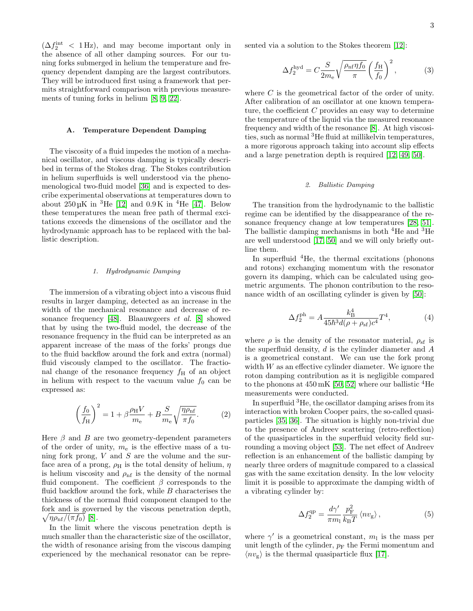$(\Delta f_2^{\text{int}} \leq 1 \text{ Hz})$ , and may become important only in the absence of all other damping sources. For our tuning forks submerged in helium the temperature and frequency dependent damping are the largest contributors. They will be introduced first using a framework that permits straightforward comparison with previous measurements of tuning forks in helium [\[8,](#page-7-16) [9,](#page-7-26) [22\]](#page-7-22).

### A. Temperature Dependent Damping

The viscosity of a fluid impedes the motion of a mechanical oscillator, and viscous damping is typically described in terms of the Stokes drag. The Stokes contribution in helium superfluids is well understood via the phenomenological two-fluid model [\[36\]](#page-8-4) and is expected to describe experimental observations at temperatures down to about  $250 \,\mu\text{K}$  in <sup>3</sup>He [\[12\]](#page-7-18) and  $0.9 \,\text{K}$  in <sup>4</sup>He [\[47\]](#page-8-15). Below these temperatures the mean free path of thermal excitations exceeds the dimensions of the oscillator and the hydrodynamic approach has to be replaced with the ballistic description.

### 1. Hydrodynamic Damping

The immersion of a vibrating object into a viscous fluid results in larger damping, detected as an increase in the width of the mechanical resonance and decrease of resonance frequency [\[48\]](#page-8-16). Blaauwgeers et al. [\[8\]](#page-7-16) showed that by using the two-fluid model, the decrease of the resonance frequency in the fluid can be interpreted as an apparent increase of the mass of the forks' prongs due to the fluid backflow around the fork and extra (normal) fluid viscously clamped to the oscillator. The fractional change of the resonance frequency  $f_{\rm H}$  of an object in helium with respect to the vacuum value  $f_0$  can be expressed as:

<span id="page-2-1"></span>
$$
\left(\frac{f_0}{f_{\rm H}}\right)^2 = 1 + \beta \frac{\rho_{\rm H} V}{m_{\rm e}} + B \frac{S}{m_{\rm e}} \sqrt{\frac{\eta \rho_{\rm nf}}{\pi f_0}}.\tag{2}
$$

Here  $\beta$  and  $B$  are two geometry-dependent parameters of the order of unity,  $m_e$  is the effective mass of a tuning fork prong,  $V$  and  $S$  are the volume and the surface area of a prong,  $\rho_\mathrm{H}$  is the total density of helium,  $\eta$ is helium viscosity and  $\rho_{\rm nf}$  is the density of the normal fluid component. The coefficient  $\beta$  corresponds to the fluid backflow around the fork, while  $B$  characterises the thickness of the normal fluid component clamped to the fork and is governed by the viscous penetration depth,  $\sqrt{\eta \rho_{\text{nf}}/(\pi f_0)}$  [\[8\]](#page-7-16).

In the limit where the viscous penetration depth is much smaller than the characteristic size of the oscillator, the width of resonance arising from the viscous damping experienced by the mechanical resonator can be represented via a solution to the Stokes theorem [\[12\]](#page-7-18):

<span id="page-2-0"></span>
$$
\Delta f_2^{\text{hyd}} = C \frac{S}{2m_e} \sqrt{\frac{\rho_{\text{nf}} \eta f_0}{\pi}} \left(\frac{f_{\text{H}}}{f_0}\right)^2, \tag{3}
$$

where  $C$  is the geometrical factor of the order of unity. After calibration of an oscillator at one known temperature, the coefficient  $C$  provides an easy way to determine the temperature of the liquid via the measured resonance frequency and width of the resonance [\[8\]](#page-7-16). At high viscosities, such as normal <sup>3</sup>He fluid at millikelvin temperatures, a more rigorous approach taking into account slip effects and a large penetration depth is required [\[12,](#page-7-18) [49,](#page-8-17) [50\]](#page-8-18).

# 2. Ballistic Damping

The transition from the hydrodynamic to the ballistic regime can be identified by the disappearance of the resonance frequency change at low temperatures [\[28,](#page-7-8) [51\]](#page-8-19). The ballistic damping mechanisms in both <sup>4</sup>He and <sup>3</sup>He are well understood [\[17,](#page-7-14) [50\]](#page-8-18) and we will only briefly outline them.

In superfluid  ${}^{4}$ He, the thermal excitations (phonons and rotons) exchanging momentum with the resonator govern its damping, which can be calculated using geometric arguments. The phonon contribution to the reso-nance width of an oscillating cylinder is given by [\[50\]](#page-8-18):

<span id="page-2-2"></span>
$$
\Delta f_2^{\text{ph}} = A \frac{k_{\text{B}}^4}{45\hbar^3 d(\rho + \rho_{\text{sf}})c^4} T^4,\tag{4}
$$

where  $\rho$  is the density of the resonator material,  $\rho_{\rm sf}$  is the superfluid density,  $d$  is the cylinder diameter and  $A$ is a geometrical constant. We can use the fork prong width  $W$  as an effective cylinder diameter. We ignore the roton damping contribution as it is negligible compared to the phonons at  $450 \,\mathrm{mK}$  [\[50,](#page-8-18) [52\]](#page-8-20) where our ballistic <sup>4</sup>He measurements were conducted.

In superfluid <sup>3</sup>He, the oscillator damping arises from its interaction with broken Cooper pairs, the so-called quasiparticles [\[35,](#page-8-3) [36\]](#page-8-4). The situation is highly non-trivial due to the presence of Andreev scattering (retro-reflection) of the quasiparticles in the superfluid velocity field surrounding a moving object [\[53\]](#page-8-21). The net effect of Andreev reflection is an enhancement of the ballistic damping by nearly three orders of magnitude compared to a classical gas with the same excitation density. In the low velocity limit it is possible to approximate the damping width of a vibrating cylinder by:

$$
\Delta f_2^{\rm qp} = \frac{d\gamma'}{\pi m_1} \frac{p_{\rm F}^2}{k_{\rm B}T} \left\langle n v_{\rm g} \right\rangle, \tag{5}
$$

where  $\gamma'$  is a geometrical constant,  $m_1$  is the mass per unit length of the cylinder,  $p_F$  the Fermi momentum and  $\langle nv_{\rm g}\rangle$  is the thermal quasiparticle flux [\[17\]](#page-7-14).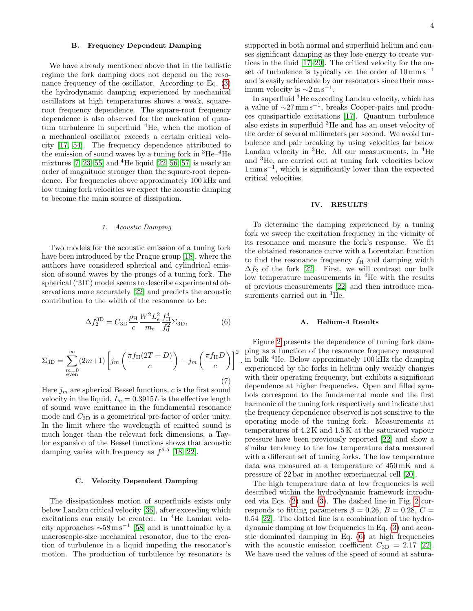## B. Frequency Dependent Damping

We have already mentioned above that in the ballistic regime the fork damping does not depend on the resonance frequency of the oscillator. According to Eq. [\(3\)](#page-2-0) the hydrodynamic damping experienced by mechanical oscillators at high temperatures shows a weak, squareroot frequency dependence. The square-root frequency dependence is also observed for the nucleation of quantum turbulence in superfluid  ${}^{4}$ He, when the motion of a mechanical oscillator exceeds a certain critical velocity [\[17,](#page-7-14) [54\]](#page-8-22). The frequency dependence attributed to the emission of sound waves by a tuning fork in  ${}^{3}He-{}^{4}He$ mixtures  $[7, 23, 55]$  $[7, 23, 55]$  $[7, 23, 55]$  and <sup>4</sup>He liquid  $[22, 56, 57]$  $[22, 56, 57]$  $[22, 56, 57]$  is nearly an order of magnitude stronger than the square-root dependence. For frequencies above approximately 100 kHz and low tuning fork velocities we expect the acoustic damping to become the main source of dissipation.

#### 1. Acoustic Damping

Two models for the acoustic emission of a tuning fork have been introduced by the Prague group [\[18\]](#page-7-21), where the authors have considered spherical and cylindrical emission of sound waves by the prongs of a tuning fork. The spherical ('3D') model seems to describe experimental observations more accurately [\[22\]](#page-7-22) and predicts the acoustic contribution to the width of the resonance to be:

<span id="page-3-0"></span>
$$
\Delta f_2^{\rm 3D} = C_{\rm 3D} \frac{\rho_{\rm H}}{c} \frac{W^2 L_e^2}{m_{\rm e}} \frac{f_{\rm H}^4}{f_0^2} \Sigma_{\rm 3D},\tag{6}
$$

$$
\Sigma_{3D} = \sum_{\substack{m=0 \text{even}}}^{\infty} (2m+1) \left[ j_m \left( \frac{\pi f_H (2T + D)}{c} \right) - j_m \left( \frac{\pi f_H D}{c} \right) \right]^2 \tag{7}
$$

Here  $j_m$  are spherical Bessel functions, c is the first sound velocity in the liquid,  $L_e = 0.3915L$  is the effective length of sound wave emittance in the fundamental resonance mode and  $C_{3D}$  is a geometrical pre-factor of order unity. In the limit where the wavelength of emitted sound is much longer than the relevant fork dimensions, a Taylor expansion of the Bessel functions shows that acoustic damping varies with frequency as  $f^{5.5}$  [\[18,](#page-7-21) [22\]](#page-7-22).

#### C. Velocity Dependent Damping

The dissipationless motion of superfluids exists only below Landau critical velocity [\[36\]](#page-8-4), after exceeding which excitations can easily be created. In <sup>4</sup>He Landau velocity approaches  $\sim 58 \,\mathrm{m\,s}^{-1}$  [\[58\]](#page-8-26) and is unattainable by a macroscopic-size mechanical resonator, due to the creation of turbulence in a liquid impeding the resonator's motion. The production of turbulence by resonators is supported in both normal and superfluid helium and causes significant damping as they lose energy to create vortices in the fluid [\[17](#page-7-14)[–20\]](#page-7-25). The critical velocity for the onset of turbulence is typically on the order of  $10 \text{ mm s}^{-1}$ and is easily achievable by our resonators since their maximum velocity is  $\sim 2 \,\mathrm{m\,s^{-1}}$ .

In superfluid <sup>3</sup>He exceeding Landau velocity, which has a value of  $\sim$ 27 mm s<sup>-1</sup>, breaks Cooper-pairs and produces quasiparticle excitations [\[17\]](#page-7-14). Quantum turbulence also exists in superfluid <sup>3</sup>He and has an onset velocity of the order of several millimeters per second. We avoid turbulence and pair breaking by using velocities far below Landau velocity in  ${}^{3}$ He. All our measurements, in  ${}^{4}$ He and <sup>3</sup>He, are carried out at tuning fork velocities below  $1 \text{ mm s}^{-1}$ , which is significantly lower than the expected critical velocities.

### IV. RESULTS

To determine the damping experienced by a tuning fork we sweep the excitation frequency in the vicinity of its resonance and measure the fork's response. We fit the obtained resonance curve with a Lorentzian function to find the resonance frequency  $f_{\rm H}$  and damping width  $\Delta f_2$  of the fork [\[22\]](#page-7-22). First, we will contrast our bulk low temperature measurements in <sup>4</sup>He with the results of previous measurements [\[22\]](#page-7-22) and then introduce measurements carried out in <sup>3</sup>He.

# A. Helium-4 Results

 $\sum_{n=1}^{\infty}$  ping as a function of the resonance frequency measured . in bulk <sup>4</sup>He. Below approximately 100 kHz the damping Figure [2](#page-4-0) presents the dependence of tuning fork damexperienced by the forks in helium only weakly changes with their operating frequency, but exhibits a significant dependence at higher frequencies. Open and filled symbols correspond to the fundamental mode and the first harmonic of the tuning fork respectively and indicate that the frequency dependence observed is not sensitive to the operating mode of the tuning fork. Measurements at temperatures of 4.2 K and 1.5 K at the saturated vapour pressure have been previously reported [\[22\]](#page-7-22) and show a similar tendency to the low temperature data measured with a different set of tuning forks. The low temperature data was measured at a temperature of 450 mK and a pressure of 22 bar in another experimental cell [\[20\]](#page-7-25).

The high temperature data at low frequencies is well described within the hydrodynamic framework introduced via Eqs. [\(2\)](#page-2-1) and [\(3\)](#page-2-0). The dashed line in Fig. [2](#page-4-0) corresponds to fitting parameters  $\beta = 0.26$ ,  $B = 0.28$ ,  $C =$ 0.54 [\[22\]](#page-7-22). The dotted line is a combination of the hydrodynamic damping at low frequencies in Eq. [\(3\)](#page-2-0) and acoustic dominated damping in Eq. [\(6\)](#page-3-0) at high frequencies with the acoustic emission coefficient  $C_{3D} = 2.17$  [\[22\]](#page-7-22). We have used the values of the speed of sound at satura-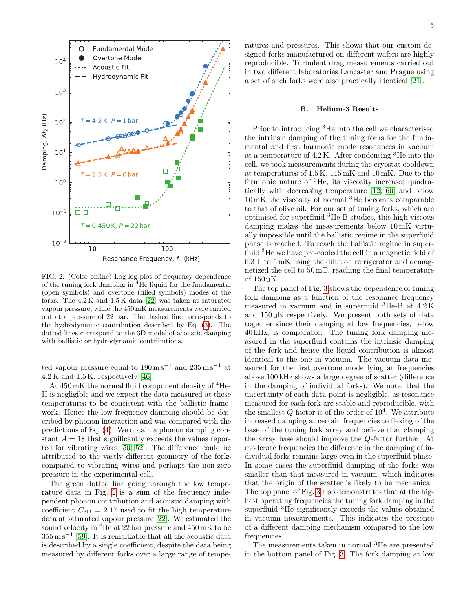

<span id="page-4-0"></span>FIG. 2. (Color online) Log-log plot of frequency dependence of the tuning fork damping in <sup>4</sup>He liquid for the fundamental (open symbols) and overtone (filled symbols) modes of the forks. The 4.2 K and 1.5 K data [\[22\]](#page-7-22) was taken at saturated vapour pressure, while the 450 mK measurements were carried out at a pressure of 22 bar. The dashed line corresponds to the hydrodynamic contribution described by Eq. [\(3\)](#page-2-0). The dotted lines correspond to the 3D model of acoustic damping with ballistic or hydrodynamic contributions.

ted vapour pressure equal to  $190 \,\mathrm{m\,s^{-1}}$  and  $235 \,\mathrm{m\,s^{-1}}$  at  $4.2 K$  and  $1.5 K$ , respectively [\[46\]](#page-8-14).

At  $450 \,\mathrm{mK}$  the normal fluid component density of  $4\,\mathrm{He}$ -II is negligible and we expect the data measured at these temperatures to be consistent with the ballistic framework. Hence the low frequency damping should be described by phonon interaction and was compared with the predictions of Eq. [\(4\)](#page-2-2). We obtain a phonon damping constant  $A = 18$  that significantly exceeds the values reported for vibrating wires [\[50,](#page-8-18) [52\]](#page-8-20). The difference could be attributed to the vastly different geometry of the forks compared to vibrating wires and perhaps the non-zero pressure in the experimental cell.

The green dotted line going through the low temperature data in Fig. [2](#page-4-0) is a sum of the frequency independent phonon contribution and acoustic damping with coefficient  $C_{3D} = 2.17$  used to fit the high temperature data at saturated vapour pressure [\[22\]](#page-7-22). We estimated the sound velocity in  ${}^{4}$ He at 22 bar pressure and 450 mK to be  $355 \,\mathrm{m\,s^{-1}}$  [\[59\]](#page-8-27). It is remarkable that all the acoustic data is described by a single coefficient, despite the data being measured by different forks over a large range of temperatures and pressures. This shows that our custom designed forks manufactured on different wafers are highly reproducible. Turbulent drag measurements carried out in two different laboratories Lancaster and Prague using a set of such forks were also practically identical [\[21\]](#page-7-15).

### B. Helium-3 Results

Prior to introducing <sup>3</sup>He into the cell we characterised the intrinsic damping of the tuning forks for the fundamental and first harmonic mode resonances in vacuum at a temperature of  $4.2$  K. After condensing  ${}^{3}$ He into the cell, we took measurements during the cryostat cooldown at temperatures of 1.5 K, 115 mK and 10 mK. Due to the fermionic nature of <sup>3</sup>He, its viscosity increases quadratically with decreasing temperature [\[12,](#page-7-18) [60\]](#page-8-28) and below 10 mK the viscosity of normal <sup>3</sup>He becomes comparable to that of olive oil. For our set of tuning forks, which are optimised for superfluid <sup>3</sup>He-B studies, this high viscous damping makes the measurements below 10 mK virtually impossible until the ballistic regime in the superfluid phase is reached. To reach the ballistic regime in superfluid <sup>3</sup>He we have pre-cooled the cell in a magnetic field of 6.3 T to 5 mK using the dilution refrigerator and demagnetized the cell to 50 mT, reaching the final temperature of 150 µK.

The top panel of Fig. [3](#page-5-0) shows the dependence of tuning fork damping as a function of the resonance frequency measured in vacuum and in superfluid <sup>3</sup>He-B at 4.2 K and 150 µK respectively. We present both sets of data together since their damping at low frequencies, below 40 kHz, is comparable. The tuning fork damping measured in the superfluid contains the intrinsic damping of the fork and hence the liquid contribution is almost identical to the one in vacuum. The vacuum data measured for the first overtone mode lying at frequencies above 100 kHz shows a large degree of scatter (difference in the damping of individual forks). We note, that the uncertainty of each data point is negligible, as resonance measured for each fork are stable and reproducible, with the smallest  $Q$ -factor is of the order of  $10^4$ . We attribute increased damping at certain frequencies to flexing of the base of the tuning fork array and believe that clamping the array base should improve the Q-factor further. At moderate frequencies the difference in the damping of individual forks remains large even in the superfluid phase. In some cases the superfluid damping of the forks was smaller than that measured in vacuum, which indicates that the origin of the scatter is likely to be mechanical. The top panel of Fig. [3](#page-5-0) also demonstrates that at the highest operating frequencies the tuning fork damping in the superfluid <sup>3</sup>He significantly exceeds the values obtained in vacuum measurements. This indicates the presence of a different damping mechanism compared to the low frequencies.

The measurements taken in normal <sup>3</sup>He are presented in the bottom panel of Fig. [3.](#page-5-0) The fork damping at low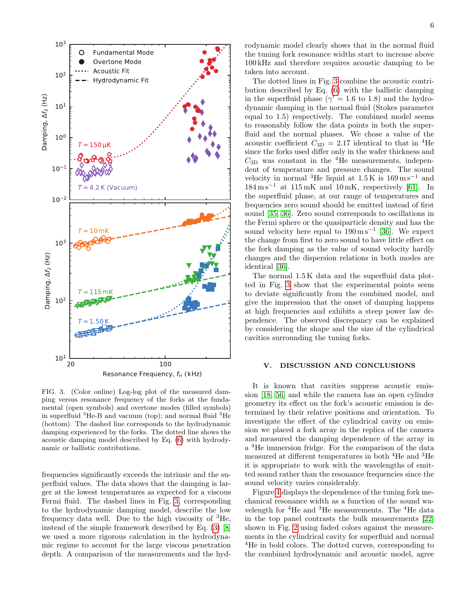

<span id="page-5-0"></span>FIG. 3. (Color online) Log-log plot of the measured damping versus resonance frequency of the forks at the fundamental (open symbols) and overtone modes (filled symbols) in superfluid  ${}^{3}$ He-B and vacuum (top); and normal fluid  ${}^{3}$ He (bottom). The dashed line corresponds to the hydrodynamic damping experienced by the forks. The dotted line shows the acoustic damping model described by Eq. [\(6\)](#page-3-0) with hydrodynamic or ballistic contributions.

frequencies significantly exceeds the intrinsic and the superfluid values. The data shows that the damping is larger at the lowest temperatures as expected for a viscous Fermi fluid. The dashed lines in Fig. [3,](#page-5-0) corresponding to the hydrodynamic damping model, describe the low frequency data well. Due to the high viscosity of  ${}^{3}$ He, instead of the simple framework described by Eq. [\(3\)](#page-2-0) [\[8\]](#page-7-16) we used a more rigorous calculation in the hydrodynamic regime to account for the large viscous penetration depth. A comparison of the measurements and the hydrodynamic model clearly shows that in the normal fluid the tuning fork resonance widths start to increase above 100 kHz and therefore requires acoustic damping to be taken into account.

The dotted lines in Fig. [3](#page-5-0) combine the acoustic contribution described by Eq. [\(6\)](#page-3-0) with the ballistic damping in the superfluid phase ( $\gamma' = 1.6$  to 1.8) and the hydrodynamic damping in the normal fluid (Stokes parameter equal to 1.5) respectively. The combined model seems to reasonably follow the data points in both the superfluid and the normal phases. We chose a value of the acoustic coefficient  $C_{3D} = 2.17$  identical to that in <sup>4</sup>He since the forks used differ only in the wafer thickness and  $C_{3D}$  was constant in the <sup>4</sup>He measurements, independent of temperature and pressure changes. The sound velocity in normal <sup>3</sup>He liquid at  $1.5 \text{ K}$  is  $169 \text{ m s}^{-1}$  and  $184 \text{ m s}^{-1}$  at  $115 \text{ mK}$  and  $10 \text{ mK}$ , respectively [\[61\]](#page-8-29). In the superfluid phase, at our range of temperatures and frequencies zero sound should be emitted instead of first sound [\[35,](#page-8-3) [36\]](#page-8-4). Zero sound corresponds to oscillations in the Fermi sphere or the quasiparticle density and has the sound velocity here equal to  $190 \,\mathrm{m\,s^{-1}}$  [\[36\]](#page-8-4). We expect the change from first to zero sound to have little effect on the fork damping as the value of sound velocity hardly changes and the dispersion relations in both modes are identical [\[36\]](#page-8-4).

The normal 1.5 K data and the superfluid data plotted in Fig. [3](#page-5-0) show that the experimental points seem to deviate significantly from the combined model, and give the impression that the onset of damping happens at high frequencies and exhibits a steep power law dependence. The observed discrepancy can be explained by considering the shape and the size of the cylindrical cavities surrounding the tuning forks.

# V. DISCUSSION AND CONCLUSIONS

It is known that cavities suppress acoustic emission [\[18,](#page-7-21) [56\]](#page-8-24) and while the camera has an open cylinder geometry its effect on the fork's acoustic emission is determined by their relative positions and orientation. To investigate the effect of the cylindrical cavity on emission we placed a fork array in the replica of the camera and measured the damping dependence of the array in a <sup>4</sup>He immersion fridge. For the comparison of the data measured at different temperatures in both <sup>4</sup>He and <sup>3</sup>He it is appropriate to work with the wavelengths of emitted sound rather than the resonance frequencies since the sound velocity varies considerably.

Figure [4](#page-6-0) displays the dependence of the tuning fork mechanical resonance width as a function of the sound wavelength for <sup>4</sup>He and <sup>3</sup>He measurements. The <sup>4</sup>He data in the top panel contrasts the bulk measurements [\[22\]](#page-7-22) shown in Fig. [2](#page-4-0) using faded colors against the measurements in the cylindrical cavity for superfluid and normal <sup>4</sup>He in bold colors. The dotted curves, corresponding to the combined hydrodynamic and acoustic model, agree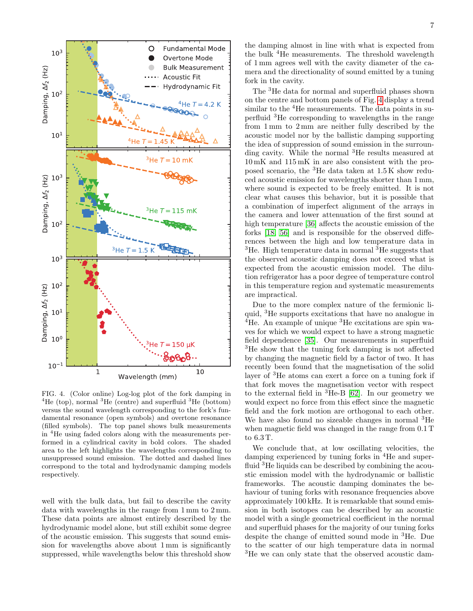

<span id="page-6-0"></span>FIG. 4. (Color online) Log-log plot of the fork damping in <sup>4</sup>He (top), normal <sup>3</sup>He (centre) and superfluid <sup>3</sup>He (bottom) versus the sound wavelength corresponding to the fork's fundamental resonance (open symbols) and overtone resonance (filled symbols). The top panel shows bulk measurements in <sup>4</sup>He using faded colors along with the measurements performed in a cylindrical cavity in bold colors. The shaded area to the left highlights the wavelengths corresponding to unsuppressed sound emission. The dotted and dashed lines correspond to the total and hydrodynamic damping models respectively.

well with the bulk data, but fail to describe the cavity data with wavelengths in the range from 1 mm to 2 mm. These data points are almost entirely described by the hydrodynamic model alone, but still exhibit some degree of the acoustic emission. This suggests that sound emission for wavelengths above about 1 mm is significantly suppressed, while wavelengths below this threshold show

the damping almost in line with what is expected from the bulk <sup>4</sup>He measurements. The threshold wavelength of 1 mm agrees well with the cavity diameter of the camera and the directionality of sound emitted by a tuning fork in the cavity.

The <sup>3</sup>He data for normal and superfluid phases shown on the centre and bottom panels of Fig. [4](#page-6-0) display a trend similar to the <sup>4</sup>He measurements. The data points in superfluid <sup>3</sup>He corresponding to wavelengths in the range from 1 mm to 2 mm are neither fully described by the acoustic model nor by the ballistic damping supporting the idea of suppression of sound emission in the surrounding cavity. While the normal <sup>3</sup>He results measured at 10 mK and 115 mK in are also consistent with the proposed scenario, the  ${}^{3}$ He data taken at 1.5 K show reduced acoustic emission for wavelengths shorter than 1 mm, where sound is expected to be freely emitted. It is not clear what causes this behavior, but it is possible that a combination of imperfect alignment of the arrays in the camera and lower attenuation of the first sound at high temperature [\[36\]](#page-8-4) affects the acoustic emission of the forks [\[18,](#page-7-21) [56\]](#page-8-24) and is responsible for the observed differences between the high and low temperature data in  ${}^{3}$ He. High temperature data in normal  ${}^{3}$ He suggests that the observed acoustic damping does not exceed what is expected from the acoustic emission model. The dilution refrigerator has a poor degree of temperature control in this temperature region and systematic measurements are impractical.

Due to the more complex nature of the fermionic liquid, <sup>3</sup>He supports excitations that have no analogue in  ${}^{4}$ He. An example of unique  ${}^{3}$ He excitations are spin waves for which we would expect to have a strong magnetic field dependence [\[35\]](#page-8-3). Our measurements in superfluid <sup>3</sup>He show that the tuning fork damping is not affected by changing the magnetic field by a factor of two. It has recently been found that the magnetisation of the solid layer of <sup>3</sup>He atoms can exert a force on a tuning fork if that fork moves the magnetisation vector with respect to the external field in <sup>3</sup>He-B [\[62\]](#page-8-30). In our geometry we would expect no force from this effect since the magnetic field and the fork motion are orthogonal to each other. We have also found no sizeable changes in normal <sup>3</sup>He when magnetic field was changed in the range from 0.1 T to 6.3 T.

We conclude that, at low oscillating velocities, the damping experienced by tuning forks in <sup>4</sup>He and superfluid <sup>3</sup>He liquids can be described by combining the acoustic emission model with the hydrodynamic or ballistic frameworks. The acoustic damping dominates the behaviour of tuning forks with resonance frequencies above approximately 100 kHz. It is remarkable that sound emission in both isotopes can be described by an acoustic model with a single geometrical coefficient in the normal and superfluid phases for the majority of our tuning forks despite the change of emitted sound mode in <sup>3</sup>He. Due to the scatter of our high temperature data in normal <sup>3</sup>He we can only state that the observed acoustic dam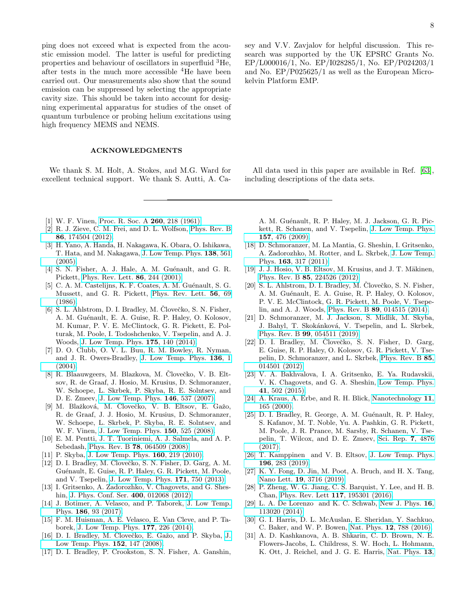ping does not exceed what is expected from the acoustic emission model. The latter is useful for predicting properties and behaviour of oscillators in superfluid <sup>3</sup>He, after tests in the much more accessible <sup>4</sup>He have been carried out. Our measurements also show that the sound emission can be suppressed by selecting the appropriate cavity size. This should be taken into account for designing experimental apparatus for studies of the onset of quantum turbulence or probing helium excitations using high frequency MEMS and NEMS.

### ACKNOWLEDGMENTS

We thank S. M. Holt, A. Stokes, and M.G. Ward for excellent technical support. We thank S. Autti, A. Ca-

- <span id="page-7-0"></span>[1] W. F. Vinen, [Proc. R. Soc. A](https://doi.org/10.1098/rspa.1961.0029) 260, 218 (1961).
- <span id="page-7-1"></span>[2] R. J. Zieve, C. M. Frei, and D. L. Wolfson, [Phys. Rev. B](https://doi.org/10.1103/PhysRevB.86.174504) 86[, 174504 \(2012\).](https://doi.org/10.1103/PhysRevB.86.174504)
- <span id="page-7-2"></span>[3] H. Yano, A. Handa, H. Nakagawa, K. Obara, O. Ishikawa, T. Hata, and M. Nakagawa, [J. Low Temp. Phys.](https://doi.org/10.1007/s10909-005-2261-8) 138, 561 [\(2005\).](https://doi.org/10.1007/s10909-005-2261-8)
- <span id="page-7-3"></span>[4] S. N. Fisher, A. J. Hale, A. M. Guénault, and G. R. Pickett, [Phys. Rev. Lett.](https://doi.org/10.1103/PhysRevLett.86.244) 86, 244 (2001).
- <span id="page-7-4"></span>[5] C. A. M. Castelijns, K. F. Coates, A. M. Guénault, S. G. Mussett, and G. R. Pickett, [Phys. Rev. Lett.](https://doi.org/10.1103/PhysRevLett.56.69) 56, 69 [\(1986\).](https://doi.org/10.1103/PhysRevLett.56.69)
- <span id="page-7-5"></span>[6] S. L. Ahlstrom, D. I. Bradley, M. Človečko, S. N. Fisher, A. M. Guénault, E. A. Guise, R. P. Haley, O. Kolosov, M. Kumar, P. V. E. McClintock, G. R. Pickett, E. Polturak, M. Poole, I. Todoshchenko, V. Tsepelin, and A. J. Woods, [J. Low Temp. Phys.](https://doi.org/10.1007/s10909-013-0930-6) 175, 140 (2014).
- <span id="page-7-11"></span>[7] D. O. Clubb, O. V. L. Buu, R. M. Bowley, R. Nyman, and J. R. Owers-Bradley, [J. Low Temp. Phys.](https://doi.org/10.1023/B:JOLT.0000035368.63197.16) 136, 1  $(2004).$
- <span id="page-7-16"></span>[8] R. Blaauwgeers, M. Blazkova, M. Clovečko, V. B. Eltsov, R. de Graaf, J. Hosio, M. Krusius, D. Schmoranzer, W. Schoepe, L. Skrbek, P. Skyba, R. E. Solntsev, and D. E. Zmeev, [J. Low Temp. Phys.](https://doi.org/10.1007/s10909-006-9279-4) 146, 537 (2007).
- <span id="page-7-26"></span>[9] M. Blažková, M. Človečko, V. B. Eltsov, E. Gažo, R. de Graaf, J. J. Hosio, M. Krusius, D. Schmoranzer, W. Schoepe, L. Skrbek, P. Skyba, R. E. Solntsev, and W. F. Vinen, [J. Low Temp. Phys.](https://doi.org/10.1007/s10909-007-9587-3) 150, 525 (2008).
- <span id="page-7-12"></span>[10] E. M. Pentti, J. T. Tuoriniemi, A. J. Salmela, and A. P. Sebedash, Phys. Rev. B 78[, 064509 \(2008\).](https://doi.org/10.1103/PhysRevB.78.064509)
- <span id="page-7-17"></span>[11] P. Skyba, [J. Low Temp. Phys.](https://doi.org/10.1007/s10909-010-0189-0) **160**, 219 (2010).
- <span id="page-7-18"></span>[12] D. I. Bradley, M. Človečko, S. N. Fisher, D. Garg, A. M. Guénault, E. Guise, R. P. Haley, G. R. Pickett, M. Poole, and V. Tsepelin, [J. Low Temp. Phys.](https://doi.org/10.1007/s10909-012-0804-3) 171, 750 (2013).
- [13] I. Gritsenko, A. Zadorozhko, V. Chagovets, and G. Sheshin, [J. Phys. Conf. Ser.](https://doi.org/10.1088/1742-6596/400/1/012068) 400, 012068 (2012).
- <span id="page-7-19"></span>[14] J. Botimer, A. Velasco, and P. Taborek, [J. Low Temp.](https://doi.org/10.1007/s10909-016-1652-3) Phys. 186[, 93 \(2017\).](https://doi.org/10.1007/s10909-016-1652-3)
- <span id="page-7-20"></span>[15] F. M. Huisman, A. E. Velasco, E. Van Cleve, and P. Taborek, [J. Low Temp. Phys.](https://doi.org/10.1007/s10909-014-1206-5) 177, 226 (2014).
- <span id="page-7-13"></span>[16] D. I. Bradley, M. Clovečko, E. Gažo, and P. Skyba, [J.](https://doi.org/10.1007/s10909-008-9815-5) [Low Temp. Phys.](https://doi.org/10.1007/s10909-008-9815-5) 152, 147 (2008).
- <span id="page-7-14"></span>[17] D. I. Bradley, P. Crookston, S. N. Fisher, A. Ganshin,

sey and V.V. Zavjalov for helpful discussion. This research was supported by the UK EPSRC Grants No. EP/L000016/1, No. EP/I028285/1, No. EP/P024203/1 and No. EP/P025625/1 as well as the European Microkelvin Platform EMP.

All data used in this paper are available in Ref. [\[63\]](#page-8-31), including descriptions of the data sets.

A. M. Guénault, R. P. Haley, M. J. Jackson, G. R. Pickett, R. Schanen, and V. Tsepelin, [J. Low Temp. Phys.](https://doi.org/10.1007/s10909-009-9982-z) 157[, 476 \(2009\).](https://doi.org/10.1007/s10909-009-9982-z)

- <span id="page-7-21"></span>[18] D. Schmoranzer, M. La Mantia, G. Sheshin, I. Gritsenko, A. Zadorozhko, M. Rotter, and L. Skrbek, [J. Low Temp.](https://doi.org/10.1007/s10909-011-0353-1) Phys. 163[, 317 \(2011\).](https://doi.org/10.1007/s10909-011-0353-1)
- <span id="page-7-24"></span>[19] J. J. Hosio, V. B. Eltsov, M. Krusius, and J. T. Mäkinen, Phys. Rev. B 85[, 224526 \(2012\).](https://doi.org/10.1103/PhysRevB.85.224526)
- <span id="page-7-25"></span> $[20]$  S. L. Ahlstrom, D. I. Bradley, M. Človečko, S. N. Fisher, A. M. Guénault, E. A. Guise, R. P. Haley, O. Kolosov, P. V. E. McClintock, G. R. Pickett, M. Poole, V. Tsepelin, and A. J. Woods, Phys. Rev. B 89[, 014515 \(2014\).](https://doi.org/10.1103/PhysRevB.89.014515)
- <span id="page-7-15"></span> $[21]$  D. Schmoranzer, M. J. Jackson, Š. Midlik, M. Skyba, J. Bahyl, T. Skokánková, V. Tsepelin, and L. Skrbek, Phys. Rev. B 99[, 054511 \(2019\).](https://doi.org/10.1103/PhysRevB.99.054511)
- <span id="page-7-22"></span> $[22]$  D. I. Bradley, M. Clovečko, S. N. Fisher, D. Garg, E. Guise, R. P. Haley, O. Kolosov, G. R. Pickett, V. Tsepelin, D. Schmoranzer, and L. Skrbek, [Phys. Rev. B](https://doi.org/10.1103/PhysRevB.85.014501) 85, [014501 \(2012\).](https://doi.org/10.1103/PhysRevB.85.014501)
- <span id="page-7-6"></span>[23] V. A. Bakhvalova, I. A. Gritsenko, E. Ya. Rudavskii, V. K. Chagovets, and G. A. Sheshin, [Low Temp. Phys.](https://doi.org/10.1063/1.4927312) 41[, 502 \(2015\).](https://doi.org/10.1063/1.4927312)
- <span id="page-7-7"></span>[24] A. Kraus, A. Erbe, and R. H. Blick, [Nanotechnology](https://doi.org/10.1088/0957-4484/11/3/305) 11, [165 \(2000\).](https://doi.org/10.1088/0957-4484/11/3/305)
- [25] D. I. Bradley, R. George, A. M. Guénault, R. P. Haley, S. Kafanov, M. T. Noble, Yu. A. Pashkin, G. R. Pickett, M. Poole, J. R. Prance, M. Sarsby, R. Schanen, V. Tsepelin, T. Wilcox, and D. E. Zmeev, [Sci. Rep.](https://doi.org/10.1038/s41598-017-04842-y) 7, 4876 [\(2017\).](https://doi.org/10.1038/s41598-017-04842-y)
- [26] T. Kamppinen and V. B. Eltsov, [J. Low Temp. Phys.](https://doi.org/10.1007/s10909-018-02124-z) 196[, 283 \(2019\).](https://doi.org/10.1007/s10909-018-02124-z)
- <span id="page-7-23"></span>[27] K. Y. Fong, D. Jin, M. Poot, A. Bruch, and H. X. Tang, Nano Lett. 19[, 3716 \(2019\).](https://doi.org/10.1021/acs.nanolett.9b00821)
- <span id="page-7-8"></span>[28] P. Zheng, W. G. Jiang, C. S. Barquist, Y. Lee, and H. B. Chan, [Phys. Rev. Lett](https://doi.org/10.1103/PhysRevLett.117.195301) 117, 195301 (2016).
- <span id="page-7-9"></span>[29] L. A. De Lorenzo and K. C. Schwab, [New J. Phys.](https://doi.org/10.1088/1367-2630/16/11/113020) 16, [113020 \(2014\).](https://doi.org/10.1088/1367-2630/16/11/113020)
- [30] G. I. Harris, D. L. McAuslan, E. Sheridan, Y. Sachkuo, C. Baker, and W. P. Bowen, Nat. Phys. 12[, 788 \(2016\).](https://doi.org/10.1038/nphys3714)
- <span id="page-7-10"></span>[31] A. D. Kashkanova, A. B. Shkarin, C. D. Brown, N. E. Flowers-Jacobs, L. Childress, S. W. Hoch, L. Hohmann, K. Ott, J. Reichel, and J. G. E. Harris, [Nat. Phys.](https://doi.org/10.1038/NPHYS3900) 13,